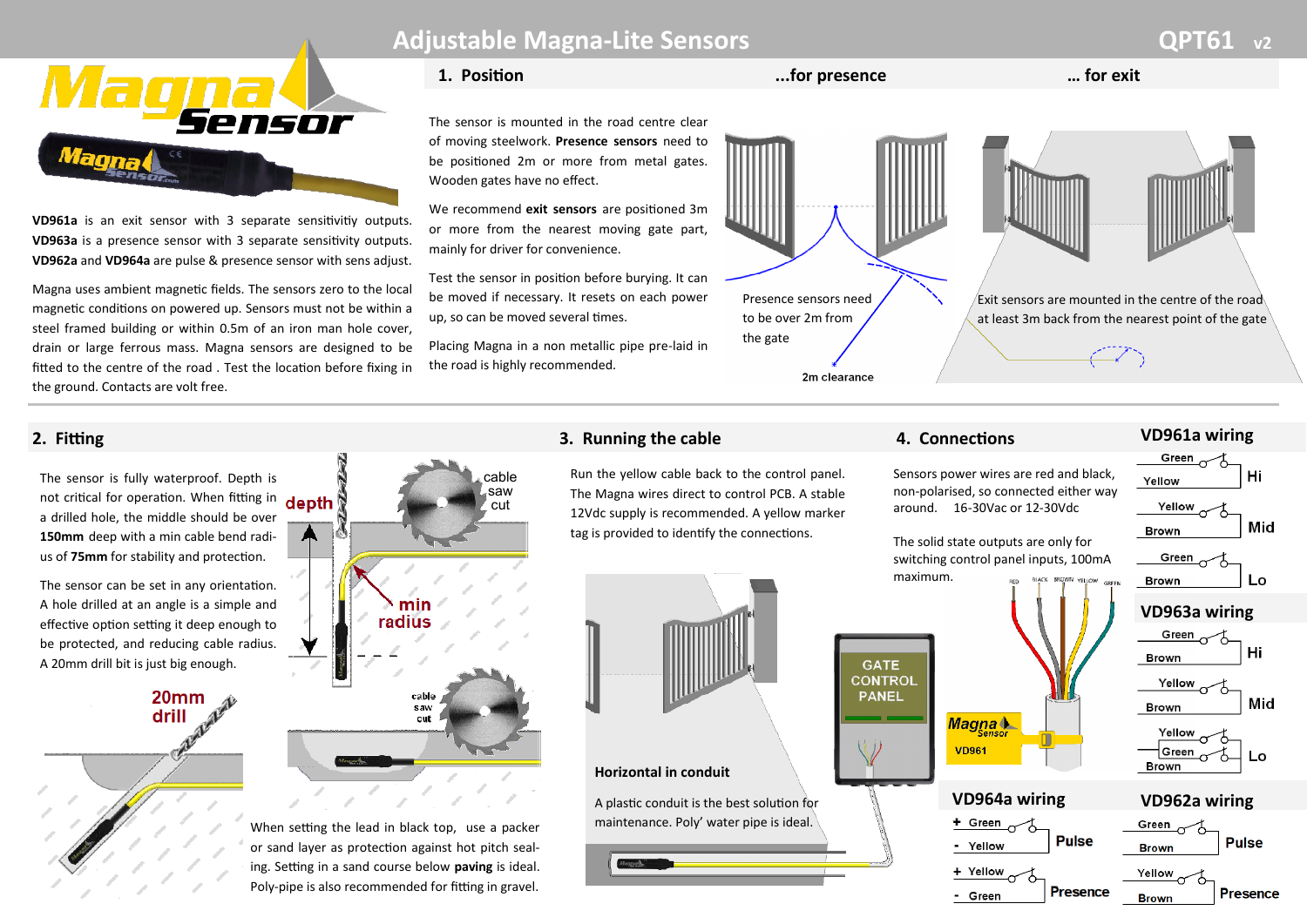

**VD961a** is an exit sensor with 3 separate sensitivitiy outputs. **VD963a** is a presence sensor with 3 separate sensitivity outputs. **VD962a** and **VD964a** are pulse & presence sensor with sens adjust.

Magna uses ambient magnetic fields. The sensors zero to the local magnetic conditions on powered up. Sensors must not be within a steel framed building or within 0.5m of an iron man hole cover, drain or large ferrous mass. Magna sensors are designed to be fitted to the centre of the road . Test the location before fixing in the ground. Contacts are volt free.

# **Adjustable Magna-Lite Sensors COPT61 QPT61**

#### **1. Position ...for presence … for exit**

The sensor is mounted in the road centre clear of moving steelwork. **Presence sensors** need to be positioned 2m or more from metal gates. Wooden gates have no effect.

We recommend **exit sensors** are positioned 3m or more from the nearest moving gate part, mainly for driver for convenience.

Test the sensor in position before burying. It can be moved if necessary. It resets on each power up, so can be moved several times.

Placing Magna in a non metallic pipe pre-laid in the road is highly recommended.



The sensor is fully waterproof. Depth is not critical for operation. When fitting in depth a drilled hole, the middle should be over **150mm** deep with a min cable bend radius of **75mm** for stability and protection.

The sensor can be set in any orientation. A hole drilled at an angle is a simple and effective option setting it deep enough to be protected, and reducing cable radius. A 20mm drill bit is just big enough.





When setting the lead in black top, use a packer or sand layer as protection against hot pitch sealing. Setting in a sand course below **paving** is ideal. Poly-pipe is also recommended for fitting in gravel.

Run the yellow cable back to the control panel. The Magna wires direct to control PCB. A stable 12Vdc supply is recommended. A vellow marker tag is provided to identify the connections.



### **Horizontal in conduit**

A plastic conduit is the best solution for maintenance. Poly' water pipe is ideal.

#### **VD961a wiring 2. Fitting 3. Running the cable 4. Connections** Green Sensors power wires are red and black, Hi Yellow non-polarised, so connected either way Yellow around. 16-30Vac or 12-30Vdc Mid **Brown** The solid state outputs are only for Green  $\sim$ switching control panel inputs, 100mA maximum. Lo **Brown VD963a wiring** Green. Hi **Brown GATE CONTROL** Yellow **PANEL** Mid **Brown** Magna + Yellow **VD961** †Green Lo **Brown VD964a wiring VD962a wiring** + Green Green **Pulse Pulse** - Yellow **Brown** + Yellow Yellow **Presence Presence**

**Brown** 

- Green